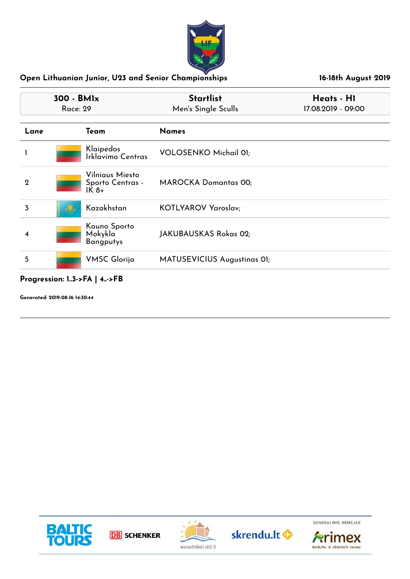

| 300 - BMIx<br><b>Race: 29</b> |                                               | <b>Startlist</b><br>Men's Single Sculls | Heats - H1<br>17.08.2019 - 09:00 |  |
|-------------------------------|-----------------------------------------------|-----------------------------------------|----------------------------------|--|
| Lane                          | Team                                          | <b>Names</b>                            |                                  |  |
|                               | Klaipedos<br>Irklavimo Centras                | <b>VOLOSENKO Michail 01;</b>            |                                  |  |
| $\mathbf 2$                   | Vilniaus Miesto<br>Sporto Centras -<br>$IK8+$ | <b>MAROCKA Domantas 00;</b>             |                                  |  |
| 3                             | Kazakhstan                                    | KOTLYAROV Yaroslav;                     |                                  |  |
| 4                             | Kauno Sporto<br>Mokykla<br><b>Bangputys</b>   | JAKUBAUSKAS Rokas 02;                   |                                  |  |
| 5                             | <b>VMSC Glorija</b>                           | MATUSEVICIUS Augustinas OI;             |                                  |  |

**Progression: 1..3->FA | 4..->FB**

**Generated: 2019-08-16 14:30:44**









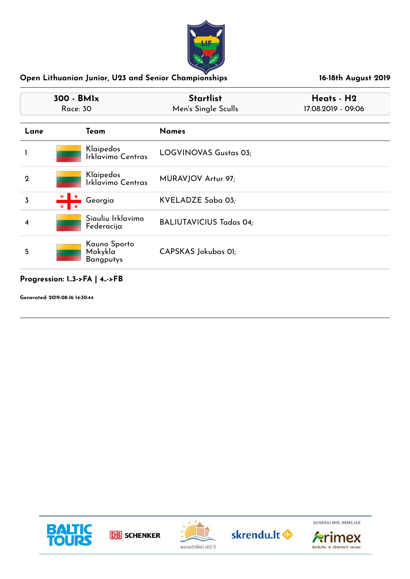

|                | 300 - BMIx<br>Race: 30                                   | <b>Startlist</b><br>Men's Single Sculls | Heats - H2<br>17.08.2019 - 09:06 |
|----------------|----------------------------------------------------------|-----------------------------------------|----------------------------------|
| Lane           | Team                                                     | <b>Names</b>                            |                                  |
|                | Klaipedos<br>Irklavimo Centras                           | LOGVINOVAS Gustas 03;                   |                                  |
| $\overline{2}$ | Klaipedos<br>Irklavimo Centras                           | MURAVJOV Artur 97;                      |                                  |
| 3              | Georgia                                                  | KVELADZE Saba 03;                       |                                  |
| 4              | Siauliu Irklavimo<br>Federacija                          | <b>BALIUTAVICIUS Tadas 04;</b>          |                                  |
| 5              | Kauno Sporto<br>Mokykla <sup>'</sup><br><b>Bangputys</b> | CAPSKAS Jokubas 01;                     |                                  |

### **Progression: 1..3->FA | 4..->FB**

**Generated: 2019-08-16 14:30:44**









RIEŠUTAI IR DŽIOVINTI VAISIAI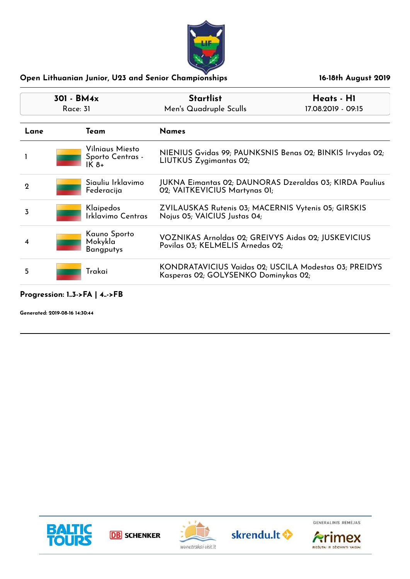

| 301 - BM4x<br>Race: 31 |  |                                               | <b>Startlist</b><br>Men's Quadruple Sculls                                                      | Heats - H1<br>17.08.2019 - 09:15 |
|------------------------|--|-----------------------------------------------|-------------------------------------------------------------------------------------------------|----------------------------------|
| Lane<br>Team           |  |                                               | <b>Names</b>                                                                                    |                                  |
|                        |  | Vilniaus Miesto<br>Sporto Centras -<br>$IK8+$ | NIENIUS Gvidas 99; PAUNKSNIS Benas 02; BINKIS Irvydas 02;<br>LIUTKUS Zygimantas 02;             |                                  |
| $\mathbf 2$            |  | Siauliu Irklavimo<br>Federacija               | <b>JUKNA Eimantas 02; DAUNORAS Dzeraldas 03; KIRDA Paulius</b><br>02; VAITKEVICIUS Martynas 01; |                                  |
| 3                      |  | Klaipedos<br>Irklavimo Centras                | ZVILAUSKAS Rutenis 03; MACERNIS Vytenis 05; GIRSKIS<br>Nojus 05; VAICIUS Justas 04;             |                                  |
| 4                      |  | Kauno Sporto<br>Mokykla<br><b>Bangputys</b>   | VOZNIKAS Arnoldas 02; GREIVYS Aidas 02; JUSKEVICIUS<br>Povilas 03; KELMELIS Arnedas 02;         |                                  |
| 5                      |  | Trakai                                        | KONDRATAVICIUS Vaidas 02; USCILA Modestas 03; PREIDYS<br>Kasperas 02; GOLYSENKO Dominykas 02;   |                                  |

# **Progression: 1..3->FA | 4..->FB**

**Generated: 2019-08-16 14:30:44**









**Arimex** 

RIEŠUTAI IR DŽIOVINTI VAISIAI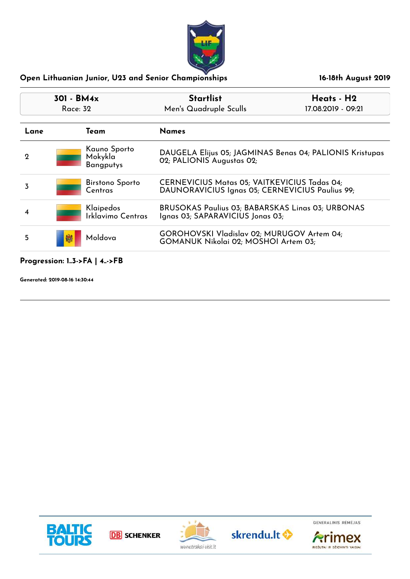

| 17.08.2019 - 09:21                                                                              |
|-------------------------------------------------------------------------------------------------|
|                                                                                                 |
| DAUGELA Elijus 05; JAGMINAS Benas 04; PALIONIS Kristupas                                        |
| CERNEVICIUS Matas 05; VAITKEVICIUS Tadas 04;<br>DAUNORAVICIUS Ignas 05; CERNEVICIUS Paulius 99; |
| <b>BRUSOKAS Paulius 03; BABARSKAS Linas 03; URBONAS</b>                                         |
| GOROHOVSKI Vladislav 02; MURUGOV Artem 04;                                                      |
|                                                                                                 |

## **Progression: 1..3->FA | 4..->FB**

**Generated: 2019-08-16 14:30:44**









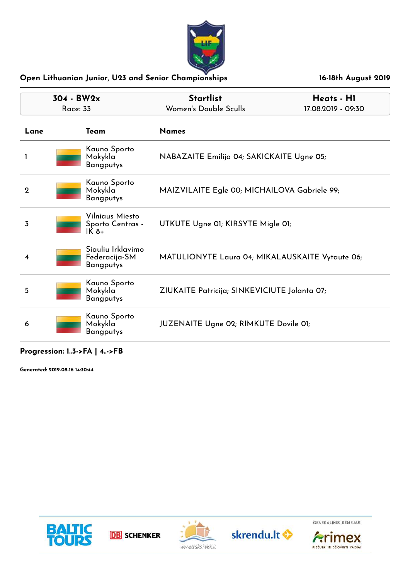

| 304 - BW2x<br><b>Race: 33</b> |                                                            | <b>Startlist</b><br>Women's Double Sculls       | Heats - H1<br>17.08.2019 - 09:30 |
|-------------------------------|------------------------------------------------------------|-------------------------------------------------|----------------------------------|
| Lane                          | Team                                                       | <b>Names</b>                                    |                                  |
|                               | Kauno Sporto<br>Mokykla<br><b>Bangputys</b>                | NABAZAITE Emilija 04; SAKICKAITE Ugne 05;       |                                  |
| $\overline{2}$                | Kauno Sporto<br>Mokykla<br><b>Bangputys</b>                | MAIZVILAITE Egle 00; MICHAILOVA Gabriele 99;    |                                  |
| 3                             | Vilniaus Miesto<br>Sporto Centras -<br>$\overline{1}$ K 8+ | UTKUTE Ugne 01; KIRSYTE Migle 01;               |                                  |
| 4                             | Siauliu Irklavimo<br>Federacija-SM<br><b>Bangputys</b>     | MATULIONYTE Laura 04; MIKALAUSKAITE Vytaute 06; |                                  |
| 5                             | Kauno Sporto<br>Mokykla<br><b>Bangputys</b>                | ZIUKAITE Patricija; SINKEVICIUTE Jolanta 07;    |                                  |
| 6                             | Kauno Sporto<br>Mokykla<br><b>Bangputys</b>                | JUZENAITE Ugne 02; RIMKUTE Dovile 01;           |                                  |

**Progression: 1..3->FA | 4..->FB**

**Generated: 2019-08-16 14:30:44**





**DB** SCHENKER



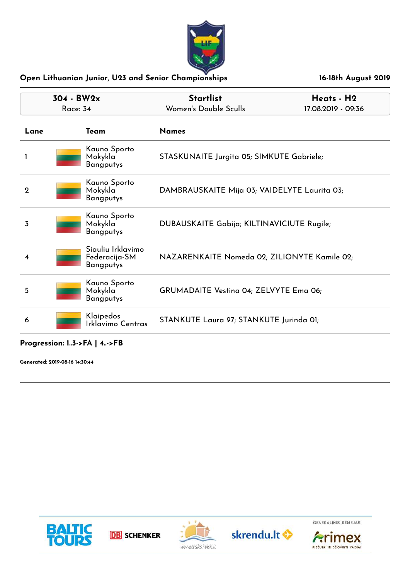

| 304 - BW2x<br>Race: 34 |                                                          | <b>Startlist</b>                             | Heats - H2         |
|------------------------|----------------------------------------------------------|----------------------------------------------|--------------------|
|                        |                                                          | Women's Double Sculls                        | 17.08.2019 - 09:36 |
| Lane                   | Team                                                     | <b>Names</b>                                 |                    |
|                        | Kauno Sporto<br>Mokykla<br><b>Bangputys</b>              | STASKUNAITE Jurgita 05; SIMKUTE Gabriele;    |                    |
| $\boldsymbol{2}$       | Kauno Sporto<br>Mokykla<br><b>Bangputys</b>              | DAMBRAUSKAITE Mija 03; VAIDELYTE Laurita 03; |                    |
| 3                      | Kauno Sporto<br>Mokykla<br><b>Bangputys</b>              | DUBAUSKAITE Gabija; KILTINAVICIUTE Rugile;   |                    |
| 4                      | Siauliu Irklavimo<br>Federacija-SM<br><b>Bangputys</b>   | NAZARENKAITE Nomeda 02; ZILIONYTE Kamile 02; |                    |
| 5                      | Kauno Sporto<br>Mokykla <sup>-</sup><br><b>Bangputys</b> | GRUMADAITE Vestina 04; ZELVYTE Ema 06;       |                    |
| 6                      | Klaipedos<br>Irklavimo Centras                           | STANKUTE Laura 97; STANKUTE Jurinda 01;      |                    |

#### **Progression: 1..3->FA | 4..->FB**

**Generated: 2019-08-16 14:30:44**





**DB** SCHENKER





**Arimex** 

RIEŠUTAI IR DŽIOVINTI VAISIAI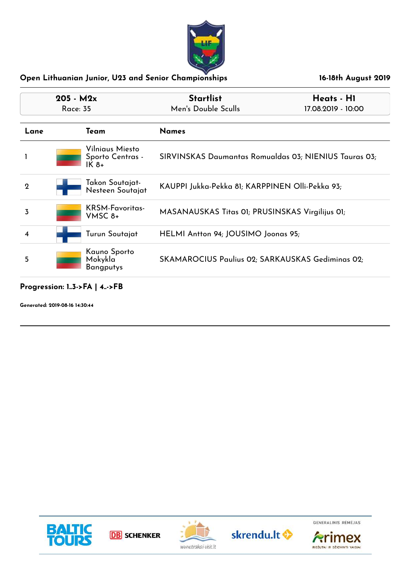

| $205 - M2x$<br>Race: 35      |  |                                               | <b>Startlist</b><br>Men's Double Sculls               | Heats - H1<br>17.08.2019 - 10:00 |
|------------------------------|--|-----------------------------------------------|-------------------------------------------------------|----------------------------------|
| <b>Names</b><br>Team<br>Lane |  |                                               |                                                       |                                  |
|                              |  | Vilniaus Miesto<br>Sporto Centras -<br>$IK8+$ | SIRVINSKAS Daumantas Romualdas 03; NIENIUS Tauras 03; |                                  |
| $\mathbf 2$                  |  | Takon Soutajat-<br>Nesteen Soutajat           | KAUPPI Jukka-Pekka 81; KARPPINEN Olli-Pekka 93;       |                                  |
| 3                            |  | KRSM-Favoritas-<br>VMSC 8+                    | MASANAUSKAS Titas 01; PRUSINSKAS Virgilijus 01;       |                                  |
| 4                            |  | Turun Soutajat                                | HELMI Antton 94; JOUSIMO Joonas 95;                   |                                  |
| 5                            |  | Kauno Sporto<br>Mokykla<br><b>Bangputys</b>   | SKAMAROCIUS Paulius 02; SARKAUSKAS Gediminas 02;      |                                  |

**Progression: 1..3->FA | 4..->FB**

**Generated: 2019-08-16 14:30:44**